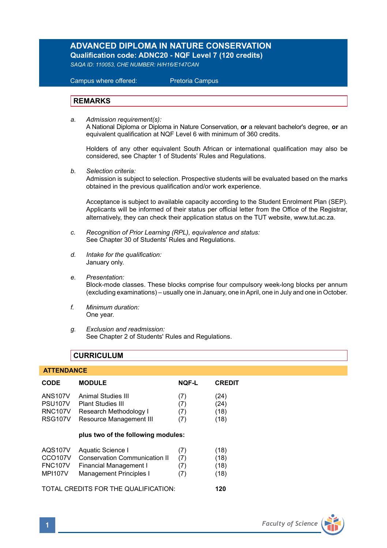## **ADVANCED DIPLOMA IN NATURE CONSERVATION Qualification code: ADNC20 - NQF Level 7 (120 credits)**

*SAQA ID: 110053, CHE NUMBER: H/H16/E147CAN* 

 Campus where offered: Pretoria Campus

## **REMARKS**

*a. Admission requirement(s):*  A National Diploma or Diploma in Nature Conservation, **or** a relevant bachelor's degree, **or** an

equivalent qualification at NQF Level 6 with minimum of 360 credits.

Holders of any other equivalent South African or international qualification may also be considered, see Chapter 1 of Students' Rules and Regulations.

*b. Selection criteria:*

Admission is subject to selection. Prospective students will be evaluated based on the marks obtained in the previous qualification and/or work experience.

Acceptance is subject to available capacity according to the Student Enrolment Plan (SEP). Applicants will be informed of their status per official letter from the Office of the Registrar, alternatively, they can check their application status on the TUT website, www.tut.ac.za.

- *c. Recognition of Prior Learning (RPL), equivalence and status:* See Chapter 30 of Students' Rules and Regulations.
- *d. Intake for the qualification:* January only.
- *e. Presentation:* Block-mode classes. These blocks comprise four compulsory week-long blocks per annum (excluding examinations) – usually one in January, one in April, one in July and one in October.
- *f. Minimum duration:* One year.
- *g. Exclusion and readmission:* See Chapter 2 of Students' Rules and Regulations.

## **CURRICULUM**

## **ATTENDANCE**

| <b>CODE</b>                          | <b>MODULE</b>                        | <b>NOF-L</b> | <b>CREDIT</b> |
|--------------------------------------|--------------------------------------|--------------|---------------|
| <b>ANS107V</b>                       | Animal Studies III                   | (7)          | (24)          |
| PSU <sub>107</sub> V                 | <b>Plant Studies III</b>             | (7)          | (24)          |
| <b>RNC107V</b>                       | Research Methodology I               | (7)          | (18)          |
| <b>RSG107V</b>                       | Resource Management III              | (7)          | (18)          |
|                                      | plus two of the following modules:   |              |               |
| AQS107V                              | Aquatic Science I                    | (7)          | (18)          |
| <b>CCO107V</b>                       | <b>Conservation Communication II</b> | (7)          | (18)          |
| <b>FNC107V</b>                       | <b>Financial Management I</b>        | (7)          | (18)          |
| <b>MPI107V</b>                       | Management Principles I              | (7)          | (18)          |
| TOTAL CREDITS FOR THE QUALIFICATION: |                                      |              | 120           |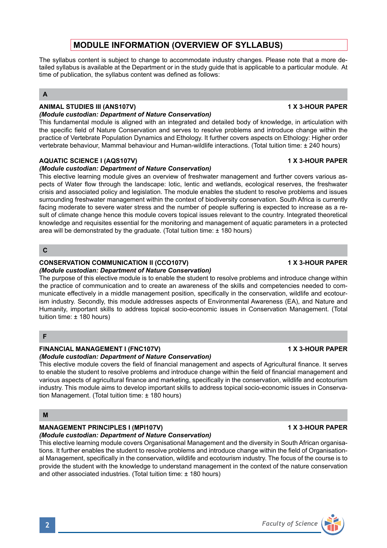# **MODULE INFORMATION (OVERVIEW OF SYLLABUS)**

The syllabus content is subject to change to accommodate industry changes. Please note that a more detailed syllabus is available at the Department or in the study guide that is applicable to a particular module. At time of publication, the syllabus content was defined as follows:

## **A**

## **ANIMAL STUDIES III (ANS107V) 1 X 3-HOUR PAPER**

#### *(Module custodian: Department of Nature Conservation)*

This fundamental module is aligned with an integrated and detailed body of knowledge, in articulation with the specific field of Nature Conservation and serves to resolve problems and introduce change within the practice of Vertebrate Population Dynamics and Ethology. It further covers aspects on Ethology: Higher order vertebrate behaviour, Mammal behaviour and Human-wildlife interactions. (Total tuition time: ± 240 hours)

## **AQUATIC SCIENCE I (AQS107V) 1 X 3-HOUR PAPER**

## *(Module custodian: Department of Nature Conservation)*

This elective learning module gives an overview of freshwater management and further covers various aspects of Water flow through the landscape: lotic, lentic and wetlands, ecological reserves, the freshwater crisis and associated policy and legislation. The module enables the student to resolve problems and issues surrounding freshwater management within the context of biodiversity conservation. South Africa is currently facing moderate to severe water stress and the number of people suffering is expected to increase as a result of climate change hence this module covers topical issues relevant to the country. Integrated theoretical knowledge and requisites essential for the monitoring and management of aquatic parameters in a protected area will be demonstrated by the graduate. (Total tuition time: ± 180 hours)

### **C**

## **CONSERVATION COMMUNICATION II (CCO107V) 1 X 3-HOUR PAPER**

### *(Module custodian: Department of Nature Conservation)*

The purpose of this elective module is to enable the student to resolve problems and introduce change within the practice of communication and to create an awareness of the skills and competencies needed to communicate effectively in a middle management position, specifically in the conservation, wildlife and ecotourism industry. Secondly, this module addresses aspects of Environmental Awareness (EA), and Nature and Humanity, important skills to address topical socio-economic issues in Conservation Management. (Total tuition time: ± 180 hours)

### **F**

### **FINANCIAL MANAGEMENT I (FNC107V) 1 X 3-HOUR PAPER**

### *(Module custodian: Department of Nature Conservation)*

This elective module covers the field of financial management and aspects of Agricultural finance. It serves to enable the student to resolve problems and introduce change within the field of financial management and various aspects of agricultural finance and marketing, specifically in the conservation, wildlife and ecotourism industry. This module aims to develop important skills to address topical socio-economic issues in Conservation Management. (Total tuition time: ± 180 hours)

## **M**

## **MANAGEMENT PRINCIPLES I (MPI107V)** 1 X 3-HOUR PAPER

## *(Module custodian: Department of Nature Conservation)*

This elective learning module covers Organisational Management and the diversity in South African organisations. It further enables the student to resolve problems and introduce change within the field of Organisational Management, specifically in the conservation, wildlife and ecotourism industry. The focus of the course is to provide the student with the knowledge to understand management in the context of the nature conservation and other associated industries. (Total tuition time: ± 180 hours)